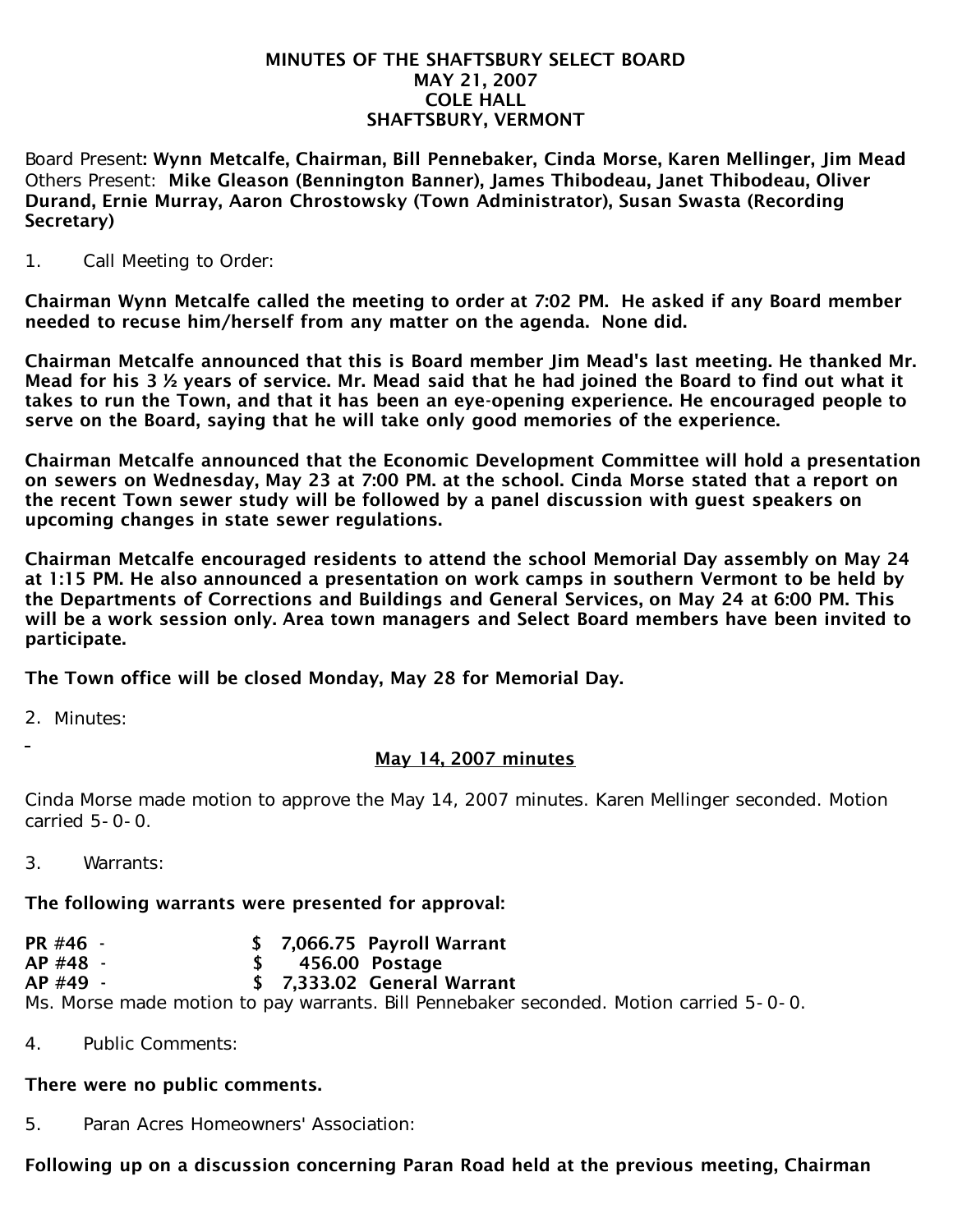#### MINUTES OF THE SHAFTSBURY SELECT BOARD MAY 21, 2007 COLE HALL SHAFTSBURY, VERMONT

Board Present: Wynn Metcalfe, Chairman, Bill Pennebaker, Cinda Morse, Karen Mellinger, Jim Mead Others Present: Mike Gleason (Bennington Banner), James Thibodeau, Janet Thibodeau, Oliver Durand, Ernie Murray, Aaron Chrostowsky (Town Administrator), Susan Swasta (Recording Secretary)

1. Call Meeting to Order:

Chairman Wynn Metcalfe called the meeting to order at 7:02 PM. He asked if any Board member needed to recuse him/herself from any matter on the agenda. None did.

Chairman Metcalfe announced that this is Board member Jim Mead's last meeting. He thanked Mr. Mead for his 3 ½ years of service. Mr. Mead said that he had joined the Board to find out what it takes to run the Town, and that it has been an eye-opening experience. He encouraged people to serve on the Board, saying that he will take only good memories of the experience.

Chairman Metcalfe announced that the Economic Development Committee will hold a presentation on sewers on Wednesday, May 23 at 7:00 PM. at the school. Cinda Morse stated that a report on the recent Town sewer study will be followed by a panel discussion with guest speakers on upcoming changes in state sewer regulations.

Chairman Metcalfe encouraged residents to attend the school Memorial Day assembly on May 24 at 1:15 PM. He also announced a presentation on work camps in southern Vermont to be held by the Departments of Corrections and Buildings and General Services, on May 24 at 6:00 PM. This will be a work session only. Area town managers and Select Board members have been invited to participate.

The Town office will be closed Monday, May 28 for Memorial Day.

2. Minutes:

# May 14, 2007 minutes

Cinda Morse made motion to approve the May 14, 2007 minutes. Karen Mellinger seconded. Motion carried 5-0-0.

3. Warrants:

### The following warrants were presented for approval:

PR #46 - \$ 7.066.75 Pavroll Warrant AP #48 - \$ 456.00 Postage AP #49 - \$ 7,333.02 General Warrant Ms. Morse made motion to pay warrants. Bill Pennebaker seconded. Motion carried 5-0-0.

4. Public Comments:

### There were no public comments.

5. Paran Acres Homeowners' Association:

# Following up on a discussion concerning Paran Road held at the previous meeting, Chairman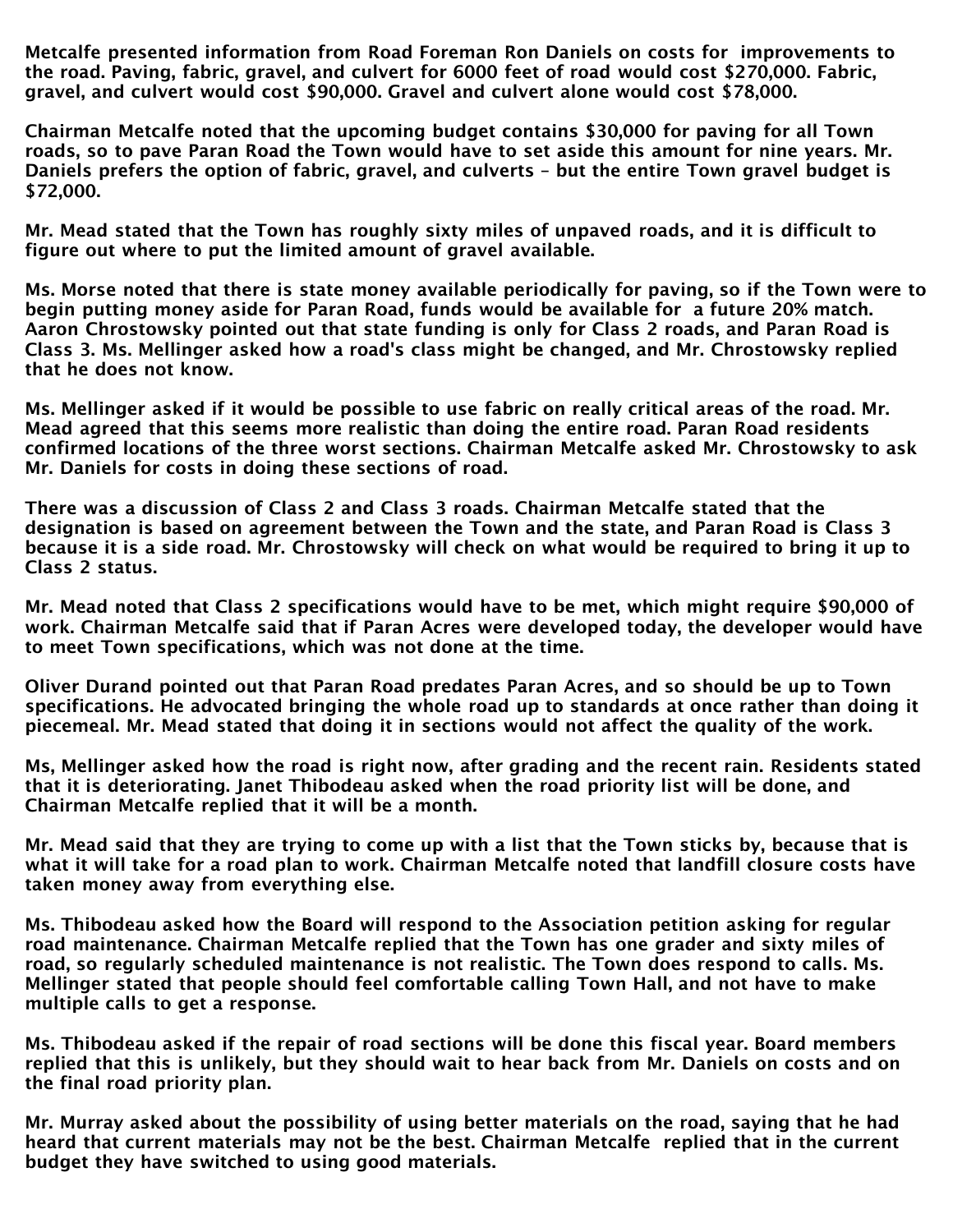Metcalfe presented information from Road Foreman Ron Daniels on costs for improvements to the road. Paving, fabric, gravel, and culvert for 6000 feet of road would cost \$270,000. Fabric, gravel, and culvert would cost \$90,000. Gravel and culvert alone would cost \$78,000.

Chairman Metcalfe noted that the upcoming budget contains \$30,000 for paving for all Town roads, so to pave Paran Road the Town would have to set aside this amount for nine years. Mr. Daniels prefers the option of fabric, gravel, and culverts – but the entire Town gravel budget is \$72,000.

Mr. Mead stated that the Town has roughly sixty miles of unpaved roads, and it is difficult to figure out where to put the limited amount of gravel available.

Ms. Morse noted that there is state money available periodically for paving, so if the Town were to begin putting money aside for Paran Road, funds would be available for a future 20% match. Aaron Chrostowsky pointed out that state funding is only for Class 2 roads, and Paran Road is Class 3. Ms. Mellinger asked how a road's class might be changed, and Mr. Chrostowsky replied that he does not know.

Ms. Mellinger asked if it would be possible to use fabric on really critical areas of the road. Mr. Mead agreed that this seems more realistic than doing the entire road. Paran Road residents confirmed locations of the three worst sections. Chairman Metcalfe asked Mr. Chrostowsky to ask Mr. Daniels for costs in doing these sections of road.

There was a discussion of Class 2 and Class 3 roads. Chairman Metcalfe stated that the designation is based on agreement between the Town and the state, and Paran Road is Class 3 because it is a side road. Mr. Chrostowsky will check on what would be required to bring it up to Class 2 status.

Mr. Mead noted that Class 2 specifications would have to be met, which might require \$90,000 of work. Chairman Metcalfe said that if Paran Acres were developed today, the developer would have to meet Town specifications, which was not done at the time.

Oliver Durand pointed out that Paran Road predates Paran Acres, and so should be up to Town specifications. He advocated bringing the whole road up to standards at once rather than doing it piecemeal. Mr. Mead stated that doing it in sections would not affect the quality of the work.

Ms, Mellinger asked how the road is right now, after grading and the recent rain. Residents stated that it is deteriorating. Janet Thibodeau asked when the road priority list will be done, and Chairman Metcalfe replied that it will be a month.

Mr. Mead said that they are trying to come up with a list that the Town sticks by, because that is what it will take for a road plan to work. Chairman Metcalfe noted that landfill closure costs have taken money away from everything else.

Ms. Thibodeau asked how the Board will respond to the Association petition asking for regular road maintenance. Chairman Metcalfe replied that the Town has one grader and sixty miles of road, so regularly scheduled maintenance is not realistic. The Town does respond to calls. Ms. Mellinger stated that people should feel comfortable calling Town Hall, and not have to make multiple calls to get a response.

Ms. Thibodeau asked if the repair of road sections will be done this fiscal year. Board members replied that this is unlikely, but they should wait to hear back from Mr. Daniels on costs and on the final road priority plan.

Mr. Murray asked about the possibility of using better materials on the road, saying that he had heard that current materials may not be the best. Chairman Metcalfe replied that in the current budget they have switched to using good materials.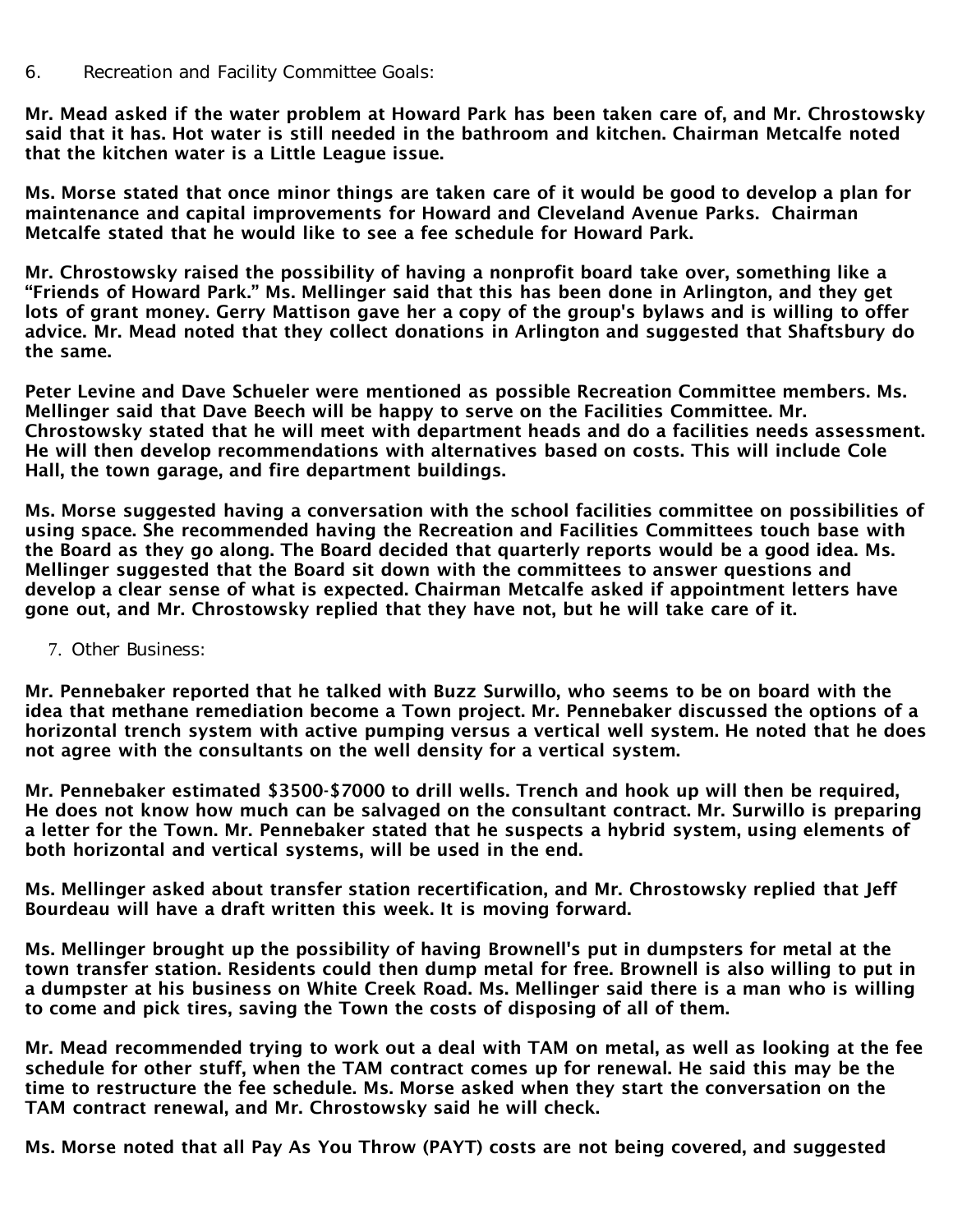Mr. Mead asked if the water problem at Howard Park has been taken care of, and Mr. Chrostowsky said that it has. Hot water is still needed in the bathroom and kitchen. Chairman Metcalfe noted that the kitchen water is a Little League issue.

Ms. Morse stated that once minor things are taken care of it would be good to develop a plan for maintenance and capital improvements for Howard and Cleveland Avenue Parks. Chairman Metcalfe stated that he would like to see a fee schedule for Howard Park.

Mr. Chrostowsky raised the possibility of having a nonprofit board take over, something like a "Friends of Howard Park." Ms. Mellinger said that this has been done in Arlington, and they get lots of grant money. Gerry Mattison gave her a copy of the group's bylaws and is willing to offer advice. Mr. Mead noted that they collect donations in Arlington and suggested that Shaftsbury do the same.

Peter Levine and Dave Schueler were mentioned as possible Recreation Committee members. Ms. Mellinger said that Dave Beech will be happy to serve on the Facilities Committee. Mr. Chrostowsky stated that he will meet with department heads and do a facilities needs assessment. He will then develop recommendations with alternatives based on costs. This will include Cole Hall, the town garage, and fire department buildings.

Ms. Morse suggested having a conversation with the school facilities committee on possibilities of using space. She recommended having the Recreation and Facilities Committees touch base with the Board as they go along. The Board decided that quarterly reports would be a good idea. Ms. Mellinger suggested that the Board sit down with the committees to answer questions and develop a clear sense of what is expected. Chairman Metcalfe asked if appointment letters have gone out, and Mr. Chrostowsky replied that they have not, but he will take care of it.

7. Other Business:

Mr. Pennebaker reported that he talked with Buzz Surwillo, who seems to be on board with the idea that methane remediation become a Town project. Mr. Pennebaker discussed the options of a horizontal trench system with active pumping versus a vertical well system. He noted that he does not agree with the consultants on the well density for a vertical system.

Mr. Pennebaker estimated \$3500-\$7000 to drill wells. Trench and hook up will then be required, He does not know how much can be salvaged on the consultant contract. Mr. Surwillo is preparing a letter for the Town. Mr. Pennebaker stated that he suspects a hybrid system, using elements of both horizontal and vertical systems, will be used in the end.

Ms. Mellinger asked about transfer station recertification, and Mr. Chrostowsky replied that Jeff Bourdeau will have a draft written this week. It is moving forward.

Ms. Mellinger brought up the possibility of having Brownell's put in dumpsters for metal at the town transfer station. Residents could then dump metal for free. Brownell is also willing to put in a dumpster at his business on White Creek Road. Ms. Mellinger said there is a man who is willing to come and pick tires, saving the Town the costs of disposing of all of them.

Mr. Mead recommended trying to work out a deal with TAM on metal, as well as looking at the fee schedule for other stuff, when the TAM contract comes up for renewal. He said this may be the time to restructure the fee schedule. Ms. Morse asked when they start the conversation on the TAM contract renewal, and Mr. Chrostowsky said he will check.

Ms. Morse noted that all Pay As You Throw (PAYT) costs are not being covered, and suggested